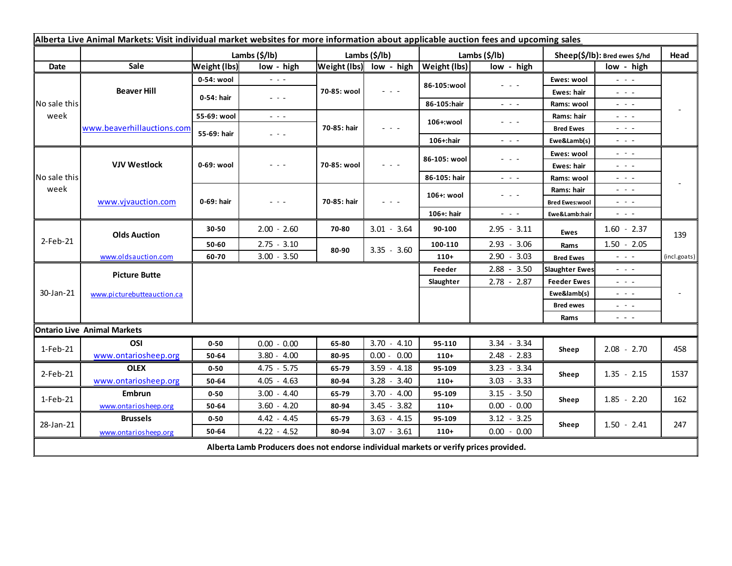| Alberta Live Animal Markets: Visit individual market websites for more information about applicable auction fees and upcoming sales |                                    |                     |                                                                                                                        |               |                         |                     |                                                                                                                                                                                                                                                                                                                                                                                                                                                |                               |                                                           |              |
|-------------------------------------------------------------------------------------------------------------------------------------|------------------------------------|---------------------|------------------------------------------------------------------------------------------------------------------------|---------------|-------------------------|---------------------|------------------------------------------------------------------------------------------------------------------------------------------------------------------------------------------------------------------------------------------------------------------------------------------------------------------------------------------------------------------------------------------------------------------------------------------------|-------------------------------|-----------------------------------------------------------|--------------|
|                                                                                                                                     |                                    | Lambs (\$/lb)       |                                                                                                                        | Lambs (\$/lb) |                         | Lambs (\$/lb)       |                                                                                                                                                                                                                                                                                                                                                                                                                                                | Sheep(\$/lb): Bred ewes \$/hd |                                                           | Head         |
| Date                                                                                                                                | Sale                               | <b>Weight (lbs)</b> | low - high                                                                                                             |               | Weight (lbs) low - high | <b>Weight (lbs)</b> | low - high                                                                                                                                                                                                                                                                                                                                                                                                                                     |                               | low - high                                                |              |
| No sale this<br>week                                                                                                                | <b>Beaver Hill</b>                 | 0-54: wool          | $  -$                                                                                                                  | 70-85: wool   | $  -$                   | 86-105:wool         | $\frac{1}{2} \left( \frac{1}{2} \right) + \frac{1}{2} \left( \frac{1}{2} \right) + \frac{1}{2} \left( \frac{1}{2} \right) + \frac{1}{2} \left( \frac{1}{2} \right) + \frac{1}{2} \left( \frac{1}{2} \right) + \frac{1}{2} \left( \frac{1}{2} \right) + \frac{1}{2} \left( \frac{1}{2} \right) + \frac{1}{2} \left( \frac{1}{2} \right) + \frac{1}{2} \left( \frac{1}{2} \right) + \frac{1}{2} \left( \frac{1}{2} \right) + \frac{1}{2} \left($ | Ewes: wool                    | $\omega_{\rm c} \sim \omega_{\rm c}$                      |              |
|                                                                                                                                     |                                    | 0-54: hair          | $\frac{1}{2} \left( \frac{1}{2} \right) \frac{1}{2} \left( \frac{1}{2} \right) \frac{1}{2} \left( \frac{1}{2} \right)$ |               |                         |                     |                                                                                                                                                                                                                                                                                                                                                                                                                                                | Ewes: hair                    | $  -$                                                     |              |
|                                                                                                                                     |                                    |                     |                                                                                                                        |               |                         | 86-105:hair         | $\frac{1}{2} \left( \frac{1}{2} \right) = \frac{1}{2} \left( \frac{1}{2} \right)$                                                                                                                                                                                                                                                                                                                                                              | Rams: wool                    | $  -$                                                     |              |
|                                                                                                                                     | www.beaverhillauctions.com         | 55-69: wool         | $\frac{1}{2} \left( \frac{1}{2} \right) \frac{1}{2} \left( \frac{1}{2} \right) \frac{1}{2} \left( \frac{1}{2} \right)$ | 70-85: hair   | - - -                   | 106+:wool           | $  -$                                                                                                                                                                                                                                                                                                                                                                                                                                          | Rams: hair                    | $  -$                                                     |              |
|                                                                                                                                     |                                    | 55-69: hair         | - - -                                                                                                                  |               |                         |                     |                                                                                                                                                                                                                                                                                                                                                                                                                                                | <b>Bred Ewes</b>              | $  -$                                                     |              |
|                                                                                                                                     |                                    |                     |                                                                                                                        |               |                         | 106+:hair           | $\frac{1}{2} \left( \frac{1}{2} \right) \left( \frac{1}{2} \right) \left( \frac{1}{2} \right) \left( \frac{1}{2} \right)$                                                                                                                                                                                                                                                                                                                      | Ewe&Lamb(s)                   | - - -                                                     |              |
| No sale this<br>week                                                                                                                | <b>VJV Westlock</b>                | 0-69: wool          | - - -                                                                                                                  | 70-85: wool   | $  -$                   | 86-105: wool        | $  -$                                                                                                                                                                                                                                                                                                                                                                                                                                          | Ewes: wool                    | $\omega_{\rm{c}}$ , $\omega_{\rm{c}}$ , $\omega_{\rm{c}}$ |              |
|                                                                                                                                     |                                    |                     |                                                                                                                        |               |                         |                     |                                                                                                                                                                                                                                                                                                                                                                                                                                                | Ewes: hair                    | $  -$                                                     |              |
|                                                                                                                                     |                                    |                     |                                                                                                                        |               |                         | 86-105: hair        | $\sim$ $\sim$ $\sim$                                                                                                                                                                                                                                                                                                                                                                                                                           | Rams: wool                    | $  -$                                                     |              |
|                                                                                                                                     | www.vjvauction.com                 | 0-69: hair          | $  -$                                                                                                                  | 70-85: hair   | $  -$                   | 106+: wool          | $  -$                                                                                                                                                                                                                                                                                                                                                                                                                                          | Rams: hair                    | $  -$                                                     |              |
|                                                                                                                                     |                                    |                     |                                                                                                                        |               |                         |                     |                                                                                                                                                                                                                                                                                                                                                                                                                                                | <b>Bred Ewes:wool</b>         | $  -$                                                     |              |
|                                                                                                                                     |                                    |                     |                                                                                                                        |               |                         | 106+: hair          | $\frac{1}{2} \left( \frac{1}{2} \right) \left( \frac{1}{2} \right) \left( \frac{1}{2} \right)$                                                                                                                                                                                                                                                                                                                                                 | Ewe&Lamb:hair                 | - - -                                                     |              |
| 2-Feb-21                                                                                                                            | <b>Olds Auction</b>                | 30-50               | $2.00 - 2.60$                                                                                                          | 70-80         | $3.01 - 3.64$           | 90-100              | $2.95 - 3.11$                                                                                                                                                                                                                                                                                                                                                                                                                                  | Ewes                          | $1.60 - 2.37$                                             | 139          |
|                                                                                                                                     |                                    | 50-60               | $2.75 - 3.10$                                                                                                          |               | $3.35 - 3.60$           | 100-110             | $2.93 - 3.06$                                                                                                                                                                                                                                                                                                                                                                                                                                  | Rams                          | $1.50 - 2.05$                                             |              |
|                                                                                                                                     | www.oldsauction.com                | 60-70               | $3.00 - 3.50$                                                                                                          | 80-90         |                         | $110+$              | $2.90 - 3.03$                                                                                                                                                                                                                                                                                                                                                                                                                                  | <b>Bred Ewes</b>              | $ -$                                                      | (incl.goats) |
| 30-Jan-21                                                                                                                           | <b>Picture Butte</b>               |                     |                                                                                                                        |               |                         | Feeder              | $2.88 - 3.50$                                                                                                                                                                                                                                                                                                                                                                                                                                  | <b>Slaughter Ewes</b>         | .                                                         |              |
|                                                                                                                                     |                                    |                     |                                                                                                                        |               |                         | Slaughter           | $2.78 - 2.87$                                                                                                                                                                                                                                                                                                                                                                                                                                  | <b>Feeder Ewes</b>            | $  -$                                                     |              |
|                                                                                                                                     | www.picturebutteauction.ca         |                     |                                                                                                                        |               |                         |                     |                                                                                                                                                                                                                                                                                                                                                                                                                                                | Ewe&lamb(s)                   | $  -$                                                     |              |
|                                                                                                                                     |                                    |                     |                                                                                                                        |               |                         |                     |                                                                                                                                                                                                                                                                                                                                                                                                                                                | <b>Bred ewes</b>              | $  -$                                                     |              |
|                                                                                                                                     |                                    |                     |                                                                                                                        |               |                         |                     |                                                                                                                                                                                                                                                                                                                                                                                                                                                | Rams                          | $  -$                                                     |              |
|                                                                                                                                     | <b>Ontario Live Animal Markets</b> |                     |                                                                                                                        |               |                         |                     |                                                                                                                                                                                                                                                                                                                                                                                                                                                |                               |                                                           |              |
| 1-Feb-21                                                                                                                            | OSI                                | $0 - 50$            | $0.00 - 0.00$                                                                                                          | 65-80         | $3.70 - 4.10$           | 95-110              | 3.34 - 3.34                                                                                                                                                                                                                                                                                                                                                                                                                                    | Sheep                         | $2.08 - 2.70$                                             | 458          |
|                                                                                                                                     | www.ontariosheep.org               | 50-64               | $3.80 - 4.00$                                                                                                          | 80-95         | $0.00 - 0.00$           | $110+$              | $2.48 - 2.83$                                                                                                                                                                                                                                                                                                                                                                                                                                  |                               |                                                           |              |
| $2$ -Feb-21                                                                                                                         | <b>OLEX</b>                        | $0 - 50$            | $4.75 - 5.75$                                                                                                          | 65-79         | $3.59 - 4.18$           | 95-109              | $3.23 - 3.34$                                                                                                                                                                                                                                                                                                                                                                                                                                  | Sheep                         | $1.35 - 2.15$                                             | 1537         |
|                                                                                                                                     | www.ontariosheep.org               | 50-64               | $4.05 - 4.63$                                                                                                          | 80-94         | $3.28 - 3.40$           | $110+$              | $3.03 - 3.33$                                                                                                                                                                                                                                                                                                                                                                                                                                  |                               |                                                           |              |
| 1-Feb-21                                                                                                                            | Embrun                             | $0 - 50$            | $3.00 - 4.40$                                                                                                          | 65-79         | $3.70 - 4.00$           | 95-109              | $3.15 - 3.50$                                                                                                                                                                                                                                                                                                                                                                                                                                  | Sheep                         | $1.85 - 2.20$                                             | 162          |
|                                                                                                                                     | www.ontariosheep.org               | 50-64               | $3.60 - 4.20$                                                                                                          | 80-94         | $3.45 - 3.82$           | $110+$              | $0.00 - 0.00$                                                                                                                                                                                                                                                                                                                                                                                                                                  |                               |                                                           |              |
| 28-Jan-21                                                                                                                           | <b>Brussels</b>                    | $0 - 50$            | $4.42 - 4.45$                                                                                                          | 65-79         | $3.63 - 4.15$           | 95-109              | $3.12 - 3.25$                                                                                                                                                                                                                                                                                                                                                                                                                                  | Sheep                         | $1.50 - 2.41$                                             | 247          |
|                                                                                                                                     | www.ontariosheep.org               | 50-64               | $4.22 - 4.52$                                                                                                          | 80-94         | $3.07 - 3.61$           | $110+$              | $0.00 - 0.00$                                                                                                                                                                                                                                                                                                                                                                                                                                  |                               |                                                           |              |
| Alberta Lamb Producers does not endorse individual markets or verify prices provided.                                               |                                    |                     |                                                                                                                        |               |                         |                     |                                                                                                                                                                                                                                                                                                                                                                                                                                                |                               |                                                           |              |